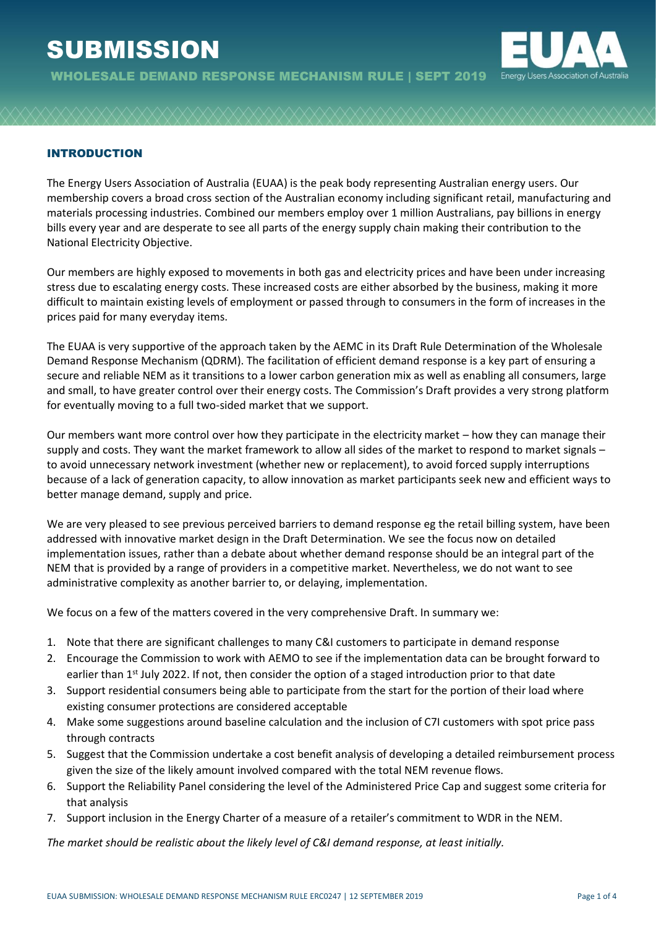# **SUBMISSION**



WHOLESALE DEMAND RESPONSE MECHANISM RULE | SEPT 2019

### INTRODUCTION

The Energy Users Association of Australia (EUAA) is the peak body representing Australian energy users. Our membership covers a broad cross section of the Australian economy including significant retail, manufacturing and materials processing industries. Combined our members employ over 1 million Australians, pay billions in energy bills every year and are desperate to see all parts of the energy supply chain making their contribution to the National Electricity Objective.

Our members are highly exposed to movements in both gas and electricity prices and have been under increasing stress due to escalating energy costs. These increased costs are either absorbed by the business, making it more difficult to maintain existing levels of employment or passed through to consumers in the form of increases in the prices paid for many everyday items.

The EUAA is very supportive of the approach taken by the AEMC in its Draft Rule Determination of the Wholesale Demand Response Mechanism (QDRM). The facilitation of efficient demand response is a key part of ensuring a secure and reliable NEM as it transitions to a lower carbon generation mix as well as enabling all consumers, large and small, to have greater control over their energy costs. The Commission's Draft provides a very strong platform for eventually moving to a full two-sided market that we support.

Our members want more control over how they participate in the electricity market – how they can manage their supply and costs. They want the market framework to allow all sides of the market to respond to market signals – to avoid unnecessary network investment (whether new or replacement), to avoid forced supply interruptions because of a lack of generation capacity, to allow innovation as market participants seek new and efficient ways to better manage demand, supply and price.

We are very pleased to see previous perceived barriers to demand response eg the retail billing system, have been addressed with innovative market design in the Draft Determination. We see the focus now on detailed implementation issues, rather than a debate about whether demand response should be an integral part of the NEM that is provided by a range of providers in a competitive market. Nevertheless, we do not want to see administrative complexity as another barrier to, or delaying, implementation.

We focus on a few of the matters covered in the very comprehensive Draft. In summary we:

- 1. Note that there are significant challenges to many C&I customers to participate in demand response
- 2. Encourage the Commission to work with AEMO to see if the implementation data can be brought forward to earlier than 1<sup>st</sup> July 2022. If not, then consider the option of a staged introduction prior to that date
- 3. Support residential consumers being able to participate from the start for the portion of their load where existing consumer protections are considered acceptable
- 4. Make some suggestions around baseline calculation and the inclusion of C7I customers with spot price pass through contracts
- 5. Suggest that the Commission undertake a cost benefit analysis of developing a detailed reimbursement process given the size of the likely amount involved compared with the total NEM revenue flows.
- 6. Support the Reliability Panel considering the level of the Administered Price Cap and suggest some criteria for that analysis
- 7. Support inclusion in the Energy Charter of a measure of a retailer's commitment to WDR in the NEM.

*The market should be realistic about the likely level of C&I demand response, at least initially.*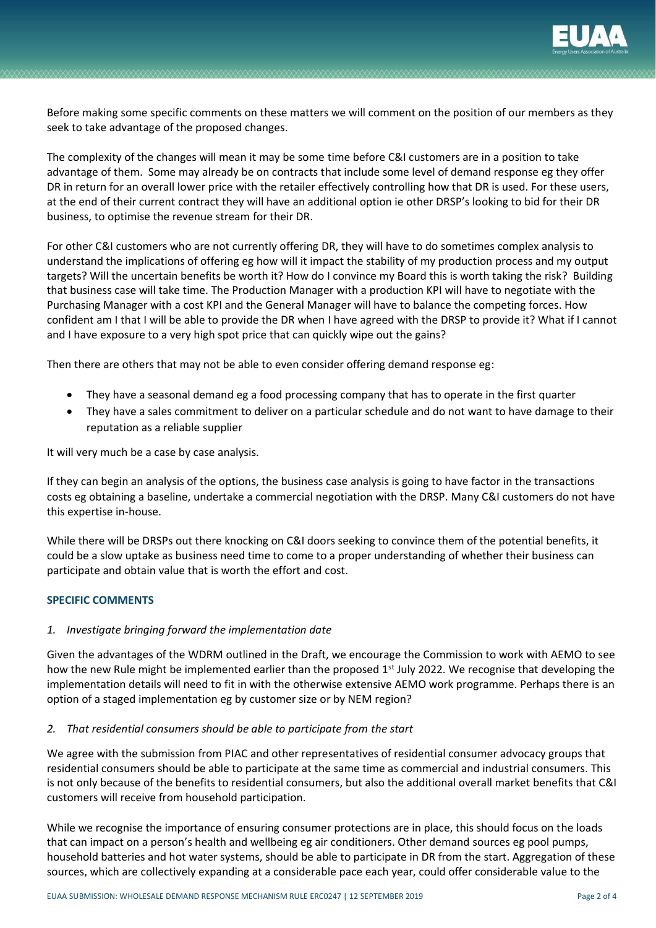

Before making some specific comments on these matters we will comment on the position of our members as they seek to take advantage of the proposed changes.

The complexity of the changes will mean it may be some time before C&I customers are in a position to take advantage of them. Some may already be on contracts that include some level of demand response eg they offer DR in return for an overall lower price with the retailer effectively controlling how that DR is used. For these users, at the end of their current contract they will have an additional option ie other DRSP's looking to bid for their DR business, to optimise the revenue stream for their DR.

For other C&I customers who are not currently offering DR, they will have to do sometimes complex analysis to understand the implications of offering eg how will it impact the stability of my production process and my output targets? Will the uncertain benefits be worth it? How do I convince my Board this is worth taking the risk? Building that business case will take time. The Production Manager with a production KPI will have to negotiate with the Purchasing Manager with a cost KPI and the General Manager will have to balance the competing forces. How confident am I that I will be able to provide the DR when I have agreed with the DRSP to provide it? What if I cannot and I have exposure to a very high spot price that can quickly wipe out the gains?

Then there are others that may not be able to even consider offering demand response eg:

- They have a seasonal demand eg a food processing company that has to operate in the first quarter
- They have a sales commitment to deliver on a particular schedule and do not want to have damage to their reputation as a reliable supplier

It will very much be a case by case analysis.

If they can begin an analysis of the options, the business case analysis is going to have factor in the transactions costs eg obtaining a baseline, undertake a commercial negotiation with the DRSP. Many C&I customers do not have this expertise in-house.

While there will be DRSPs out there knocking on C&I doors seeking to convince them of the potential benefits, it could be a slow uptake as business need time to come to a proper understanding of whether their business can participate and obtain value that is worth the effort and cost.

#### **SPECIFIC COMMENTS**

#### *1. Investigate bringing forward the implementation date*

Given the advantages of the WDRM outlined in the Draft, we encourage the Commission to work with AEMO to see how the new Rule might be implemented earlier than the proposed 1<sup>st</sup> July 2022. We recognise that developing the implementation details will need to fit in with the otherwise extensive AEMO work programme. Perhaps there is an option of a staged implementation eg by customer size or by NEM region?

#### *2. That residential consumers should be able to participate from the start*

We agree with the submission from PIAC and other representatives of residential consumer advocacy groups that residential consumers should be able to participate at the same time as commercial and industrial consumers. This is not only because of the benefits to residential consumers, but also the additional overall market benefits that C&I customers will receive from household participation.

While we recognise the importance of ensuring consumer protections are in place, this should focus on the loads that can impact on a person's health and wellbeing eg air conditioners. Other demand sources eg pool pumps, household batteries and hot water systems, should be able to participate in DR from the start. Aggregation of these sources, which are collectively expanding at a considerable pace each year, could offer considerable value to the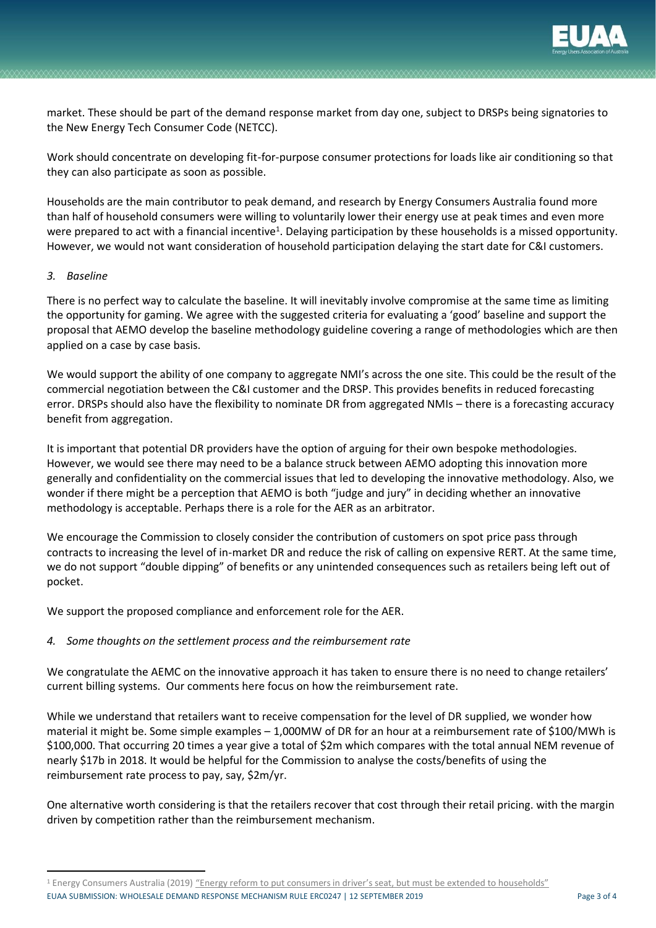

market. These should be part of the demand response market from day one, subject to DRSPs being signatories to the New Energy Tech Consumer Code (NETCC).

Work should concentrate on developing fit-for-purpose consumer protections for loads like air conditioning so that they can also participate as soon as possible.

Households are the main contributor to peak demand, and research by Energy Consumers Australia found more than half of household consumers were willing to voluntarily lower their energy use at peak times and even more were prepared to act with a financial incentive<sup>1</sup>. Delaying participation by these households is a missed opportunity. However, we would not want consideration of household participation delaying the start date for C&I customers.

#### *3. Baseline*

There is no perfect way to calculate the baseline. It will inevitably involve compromise at the same time as limiting the opportunity for gaming. We agree with the suggested criteria for evaluating a 'good' baseline and support the proposal that AEMO develop the baseline methodology guideline covering a range of methodologies which are then applied on a case by case basis.

We would support the ability of one company to aggregate NMI's across the one site. This could be the result of the commercial negotiation between the C&I customer and the DRSP. This provides benefits in reduced forecasting error. DRSPs should also have the flexibility to nominate DR from aggregated NMIs – there is a forecasting accuracy benefit from aggregation.

It is important that potential DR providers have the option of arguing for their own bespoke methodologies. However, we would see there may need to be a balance struck between AEMO adopting this innovation more generally and confidentiality on the commercial issues that led to developing the innovative methodology. Also, we wonder if there might be a perception that AEMO is both "judge and jury" in deciding whether an innovative methodology is acceptable. Perhaps there is a role for the AER as an arbitrator.

We encourage the Commission to closely consider the contribution of customers on spot price pass through contracts to increasing the level of in-market DR and reduce the risk of calling on expensive RERT. At the same time, we do not support "double dipping" of benefits or any unintended consequences such as retailers being left out of pocket.

We support the proposed compliance and enforcement role for the AER.

#### *4. Some thoughts on the settlement process and the reimbursement rate*

We congratulate the AEMC on the innovative approach it has taken to ensure there is no need to change retailers' current billing systems. Our comments here focus on how the reimbursement rate.

While we understand that retailers want to receive compensation for the level of DR supplied, we wonder how material it might be. Some simple examples – 1,000MW of DR for an hour at a reimbursement rate of \$100/MWh is \$100,000. That occurring 20 times a year give a total of \$2m which compares with the total annual NEM revenue of nearly \$17b in 2018. It would be helpful for the Commission to analyse the costs/benefits of using the reimbursement rate process to pay, say, \$2m/yr.

One alternative worth considering is that the retailers recover that cost through their retail pricing. with the margin driven by competition rather than the reimbursement mechanism.

EUAA SUBMISSION: WHOLESALE DEMAND RESPONSE MECHANISM RULE ERC0247 | 12 SEPTEMBER 2019 Page 3 of 4 <sup>1</sup> Energy Consumers Australia (2019) ["Energy reform to put consumers in driver's seat, but must be extended to households"](https://energyconsumersaustralia.com.au/news/energy-reform-to-put-consumers-in-drivers-seat-but-must-be-extended-to-households)